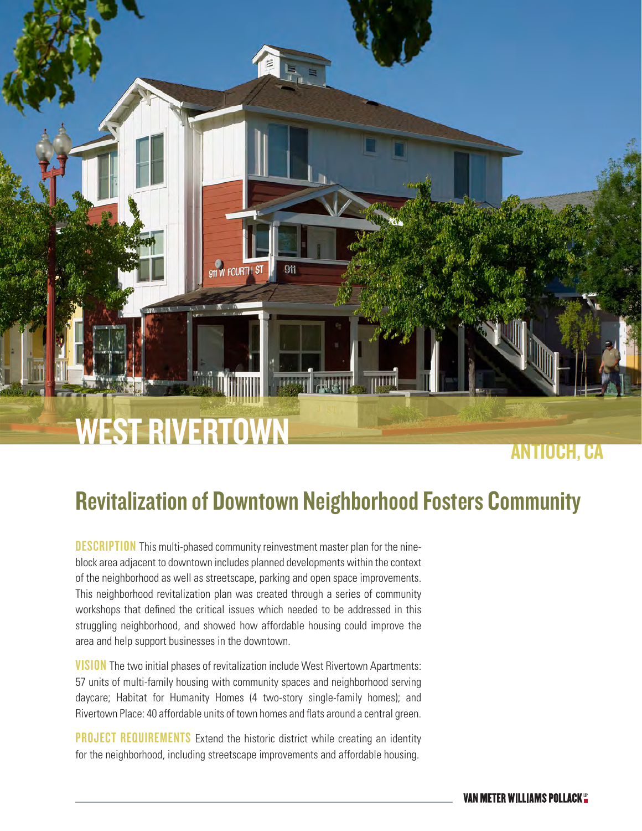# **911 W FOURTH ST** 911 WEST RIVERTOWN

## ANTIOCH, CA

# Revitalization of Downtown Neighborhood Fosters Community

**DESCRIPTION** This multi-phased community reinvestment master plan for the nineblock area adjacent to downtown includes planned developments within the context of the neighborhood as well as streetscape, parking and open space improvements. This neighborhood revitalization plan was created through a series of community workshops that defined the critical issues which needed to be addressed in this struggling neighborhood, and showed how affordable housing could improve the area and help support businesses in the downtown.

**VISION** The two initial phases of revitalization include West Rivertown Apartments: 57 units of multi-family housing with community spaces and neighborhood serving daycare; Habitat for Humanity Homes (4 two-story single-family homes); and Rivertown Place: 40 affordable units of town homes and flats around a central green.

**PROJECT REQUIREMENTS** Extend the historic district while creating an identity for the neighborhood, including streetscape improvements and affordable housing.